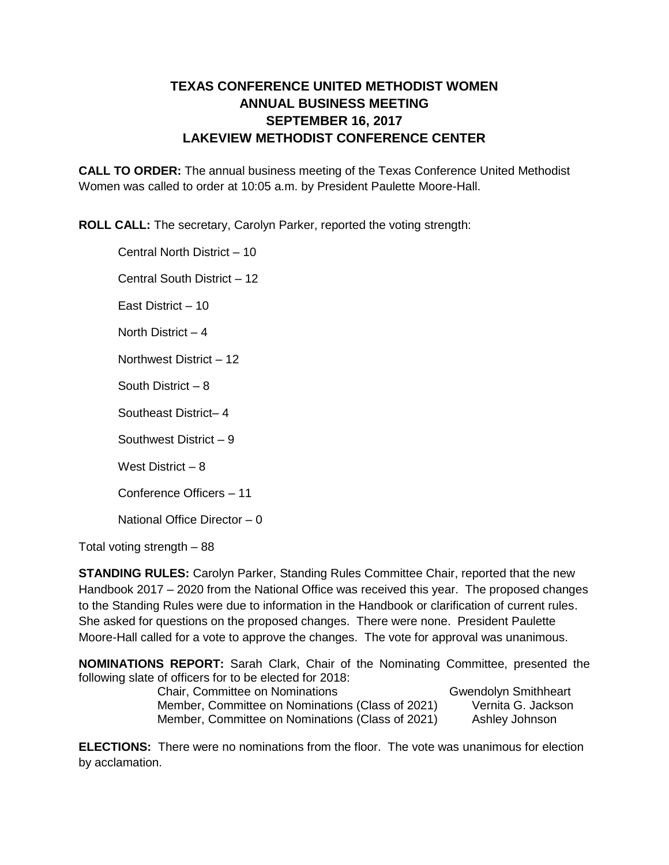## **TEXAS CONFERENCE UNITED METHODIST WOMEN ANNUAL BUSINESS MEETING SEPTEMBER 16, 2017 LAKEVIEW METHODIST CONFERENCE CENTER**

**CALL TO ORDER:** The annual business meeting of the Texas Conference United Methodist Women was called to order at 10:05 a.m. by President Paulette Moore-Hall.

**ROLL CALL:** The secretary, Carolyn Parker, reported the voting strength:

Central North District – 10 Central South District – 12 East District – 10 North District – 4 Northwest District – 12 South District – 8 Southeast District– 4 Southwest District – 9 West District – 8 Conference Officers – 11 National Office Director – 0

Total voting strength – 88

**STANDING RULES:** Carolyn Parker, Standing Rules Committee Chair, reported that the new Handbook 2017 – 2020 from the National Office was received this year. The proposed changes to the Standing Rules were due to information in the Handbook or clarification of current rules. She asked for questions on the proposed changes. There were none. President Paulette Moore-Hall called for a vote to approve the changes. The vote for approval was unanimous.

**NOMINATIONS REPORT:** Sarah Clark, Chair of the Nominating Committee, presented the following slate of officers for to be elected for 2018:

Chair, Committee on Nominations Gwendolyn Smithheart Member, Committee on Nominations (Class of 2021) Vernita G. Jackson Member, Committee on Nominations (Class of 2021) Ashley Johnson

**ELECTIONS:** There were no nominations from the floor. The vote was unanimous for election by acclamation.